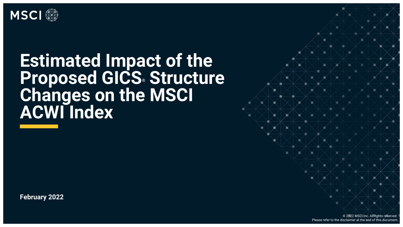

# **Estimated Impact of the Proposed GICS® Structure Changes on the MSCI ACWI Index**

Information Classification: GENERAL

**February 2022**

© 2022 MSCI Inc. All rights reserved. Please refer to the disclaimer at the end of this document.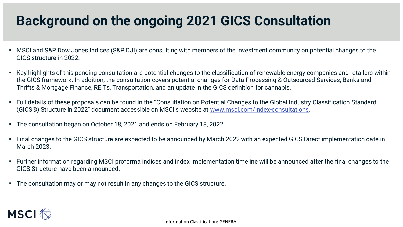## **Background on the ongoing 2021 GICS Consultation**

- MSCI and S&P Dow Jones Indices (S&P DJI) are consulting with members of the investment community on potential changes to the GICS structure in 2022.
- Key highlights of this pending consultation are potential changes to the classification of renewable energy companies and retailers within the GICS framework. In addition, the consultation covers potential changes for Data Processing & Outsourced Services, Banks and Thrifts & Mortgage Finance, REITs, Transportation, and an update in the GICS definition for cannabis.
- Full details of these proposals can be found in the "Consultation on Potential Changes to the Global Industry Classification Standard (GICS®) Structure in 2022" document accessible on MSCI's website at [www.msci.com/index-consultations.](http://www.msci.com/index-consultations)
- The consultation began on October 18, 2021 and ends on February 18, 2022.
- Final changes to the GICS structure are expected to be announced by March 2022 with an expected GICS Direct implementation date in March 2023.
- Further information regarding MSCI proforma indices and index implementation timeline will be announced after the final changes to the GICS Structure have been announced.
- The consultation may or may not result in any changes to the GICS structure.

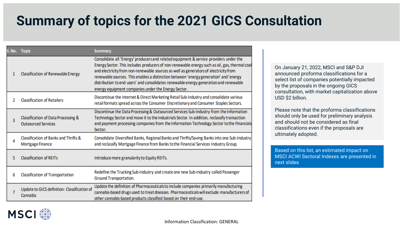### **Summary of topics for the 2021 GICS Consultation**

|   | S. No. Topic                                                      | <b>Summary</b>                                                                                                                                                                                                                                                                                                                                                                                                                                                                                                           |
|---|-------------------------------------------------------------------|--------------------------------------------------------------------------------------------------------------------------------------------------------------------------------------------------------------------------------------------------------------------------------------------------------------------------------------------------------------------------------------------------------------------------------------------------------------------------------------------------------------------------|
| 1 | <b>Classification of Renewable Energy</b>                         | Consolidate all 'Energy' producers and related equipment & service providers under the<br>Energy Sector. This includes producers of non-renewable energy such as oil, gas, thermal coal<br>and electricity from non-renewable sources as well as generators of electricity from<br>renewable sources. This enables a distinction between 'energy generation' and 'energy<br>distribution to end users' and consolidates renewable energy generation and renewable<br>energy equipment companies under the Energy Sector. |
| 2 | <b>Classification of Retailers</b>                                | Discontinue the Internet & Direct Marketing Retail Sub-Industry and consolidate various<br>retail formats spread across the Consumer Discretionary and Consumer Staples Sectors.                                                                                                                                                                                                                                                                                                                                         |
| 3 | Classification of Data Processing &<br><b>Outsourced Services</b> | Discontinue the Data Processing & Outsourced Services Sub-Industry from the Information<br>Technology Sector and move it to the Industrials Sector. In addition, reclassify transaction<br>and payment processing companies from the Information Technology Sector to the Financials<br>Sector.                                                                                                                                                                                                                          |
| 4 | Classification of Banks and Thrifts &<br><b>Mortgage Finance</b>  | Consolidate Diversified Banks, Regional Banks and Thrifts/Saving Banks into one Sub-Industry<br>and reclassify Mortgage Finance from Banks to the Financial Services Industry Group.                                                                                                                                                                                                                                                                                                                                     |
| 5 | <b>Classification of REITs</b>                                    | Introduce more granularity to Equity REITs.                                                                                                                                                                                                                                                                                                                                                                                                                                                                              |
| 6 | <b>Classification of Transportation</b>                           | Redefine the Trucking Sub-Industry and create one new Sub-Industry called Passenger<br>Ground Transportation.                                                                                                                                                                                                                                                                                                                                                                                                            |
| 7 | Update to GICS definition: Classification of<br>Cannabis          | Update the definition of Pharmaceuticals to include companies primarily manufacturing<br>cannabis-based drugs used to treat diseases. Pharmaceuticals will exclude manufacturers of<br>other cannabis-based products classified based on their end-use.                                                                                                                                                                                                                                                                  |

On January 21, 2022, MSCI and S&P DJI announced proforma classifications for a select list of companies potentially impacted by the proposals in the ongoing GICS consultation, with market capitalization above USD \$2 billion.

Please note that the proforma classifications should only be used for preliminary analysis and should not be considered as final classifications even if the proposals are ultimately adopted.

Based on this list, an estimated impact on MSCI ACWI Sectoral Indexes are presented in next slides

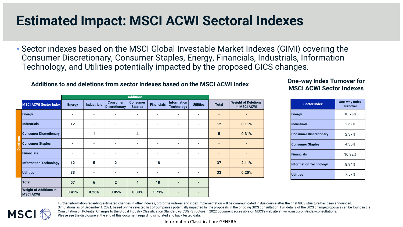#### **Estimated Impact: MSCI ACWI Sectoral Indexes**

• Sector indexes based on the MSCI Global Investable Market Indexes (GIMI) covering the Consumer Discretionary, Consumer Staples, Energy, Financials, Industrials, Information Technology, and Utilities potentially impacted by the proposed GICS changes.

#### **Additions to and deletions from sector Indexes based on the MSCI ACWI Index One-way Index Turnover for**

|                  |                                                   | <b>Additions</b>         |                    |                                         |                                   |                          |                                         |                          |              |                                            |
|------------------|---------------------------------------------------|--------------------------|--------------------|-----------------------------------------|-----------------------------------|--------------------------|-----------------------------------------|--------------------------|--------------|--------------------------------------------|
|                  | <b>MSCI ACWI Sector Index</b>                     | <b>Energy</b>            | <b>Industrials</b> | <b>Consumer</b><br><b>Discretionary</b> | <b>Consumer</b><br><b>Staples</b> | <b>Financials</b>        | <b>Information</b><br><b>Technology</b> | <b>Utilities</b>         | <b>Total</b> | <b>Weight of Deletions</b><br>in MSCI ACWI |
|                  | <b>Energy</b>                                     | $\overline{\phantom{0}}$ | ٠                  |                                         | $\overline{\phantom{a}}$          |                          |                                         | $\overline{\phantom{a}}$ | ٠            |                                            |
|                  | <b>Industrials</b>                                | 12                       | ÷,                 |                                         | $\tilde{\phantom{a}}$             | $\overline{\phantom{0}}$ | ٠                                       | $\overline{\phantom{a}}$ | 12           | 0.11%                                      |
|                  | <b>Consumer Discretionary</b>                     | $\overline{\phantom{0}}$ | 1                  |                                         | 4                                 | $\overline{\phantom{a}}$ |                                         | $\overline{\phantom{a}}$ | 5            | 0.31%                                      |
| <b>Deletions</b> | <b>Consumer Staples</b>                           |                          | ٠                  |                                         | ٠                                 |                          |                                         |                          | ٠            |                                            |
|                  | <b>Financials</b>                                 | ٠                        | ٠                  |                                         | ٠                                 | $\overline{\phantom{0}}$ |                                         | $\overline{\phantom{a}}$ | ٠            |                                            |
|                  | <b>Information Technology</b>                     | 12                       | 5                  | $\overline{2}$                          | $\overline{\phantom{a}}$          | 18                       |                                         | $\overline{\phantom{a}}$ | 37           | 2.11%                                      |
|                  | <b>Utilities</b>                                  | 33                       | ٠                  |                                         | $\overline{\phantom{a}}$          | $\overline{\phantom{0}}$ |                                         | $\overline{\phantom{a}}$ | 33           | 0.20%                                      |
|                  | <b>Total</b>                                      | 57                       | 6                  | $\overline{2}$                          | $\overline{4}$                    | 18                       |                                         |                          |              |                                            |
|                  | <b>Weight of Additions in</b><br><b>MSCI ACWI</b> | 0.41%                    | 0.26%              | 0.05%                                   | 0.30%                             | 1.71%                    |                                         |                          |              |                                            |

#### **MSCI ACWI Sector Indexes**

| <b>Sector Index</b>           | One-way Index<br><b>Turnover</b> |
|-------------------------------|----------------------------------|
| <b>Energy</b>                 | 10.76%                           |
| <b>Industrials</b>            | 2.69%                            |
| <b>Consumer Discretionary</b> | 2.37%                            |
| <b>Consumer Staples</b>       | 4.35%                            |
| <b>Financials</b>             | 10.92%                           |
| <b>Information Technology</b> | 8.94%                            |
| <b>Iltilities</b>             | 7.57%                            |



Further information regarding estimated changes in other indexes, proforma indexes and index implementation will be communicated in due course after the final GICS structure has been announced. Simulations as of December 1, 2021, based on the selected list of companies potentially impacted by the proposals in the ongoing GICS consultation. Full details of the GICS change proposals can be found in the Consultation on Potential Changes to the Global Industry Classification Standard (GICS®) Structure in 2022 document accessible on MSCI's website at www.msci.com/index-consultations. Please see the disclosure at the end of this document regarding simulated and back tested data.

Information Classification: GENERAL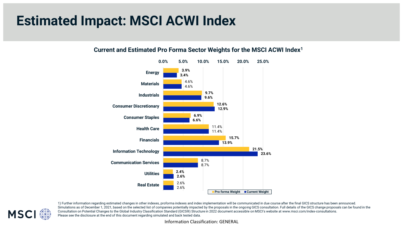#### **Estimated Impact: MSCI ACWI Index**



#### **Current and Estimated Pro Forma Sector Weights for the MSCI ACWI Index1**



1) Further information regarding estimated changes in other indexes, proforma indexes and index implementation will be communicated in due course after the final GICS structure has been announced. Simulations as of December 1, 2021, based on the selected list of companies potentially impacted by the proposals in the ongoing GICS consultation. Full details of the GICS change proposals can be found in the Consultation on Potential Changes to the Global Industry Classification Standard (GICS®) Structure in 2022 document accessible on MSCI's website at www.msci.com/index-consultations. Please see the disclosure at the end of this document regarding simulated and back tested data.

Information Classification: GENERAL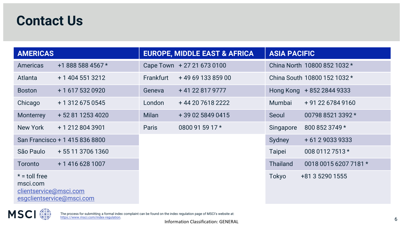#### **Contact Us**

| <b>AMERICAS</b>                                       |                                |              | <b>EUROPE, MIDDLE EAST &amp; AFRICA</b> | <b>ASIA PACIFIC</b> |                              |  |
|-------------------------------------------------------|--------------------------------|--------------|-----------------------------------------|---------------------|------------------------------|--|
| Americas                                              | +1 888 588 4567 *              |              | Cape Town + 27 21 673 0100              |                     | China North 10800 852 1032 * |  |
| Atlanta                                               | + 1 404 551 3212               | Frankfurt    | +49 69 133 859 00                       |                     | China South 10800 152 1032 * |  |
| <b>Boston</b>                                         | + 1 617 532 0920               | Geneva       | +41 22 817 9777                         |                     | Hong Kong + 852 2844 9333    |  |
| Chicago                                               | + 1 312 675 0545               | London       | +44 20 7618 2222                        | Mumbai              | + 91 22 6784 9160            |  |
| Monterrey                                             | +52 81 1253 4020               | <b>Milan</b> | +39 02 5849 0415                        | Seoul               | 00798 8521 3392 *            |  |
| New York                                              | +1 212 804 3901                | Paris        | 0800 91 59 17 *                         | Singapore           | 800 852 3749 *               |  |
|                                                       | San Francisco + 1 415 836 8800 |              |                                         | Sydney              | + 61 2 9033 9333             |  |
| São Paulo                                             | + 55 11 3706 1360              |              |                                         | Taipei              | 008 0112 7513 *              |  |
| Toronto                                               | + 1 416 628 1007               |              |                                         | <b>Thailand</b>     | 0018 0015 6207 7181 *        |  |
| $* =$ toll free<br>msci.com<br>clientservice@msci.com | esgclientservice@msci.com      |              |                                         | Tokyo               | +81 3 5290 1555              |  |



The process for submitting a formal index complaint can be found on the index regulation page of MSCI's website at:<br>[https://www.msci.com/index-regulation.](https://www.msci.com/index-regulation)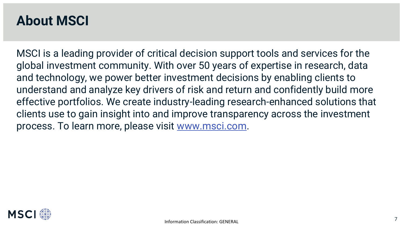#### **About MSCI**

MSCI is a leading provider of critical decision support tools and services for the global investment community. With over 50 years of expertise in research, data and technology, we power better investment decisions by enabling clients to understand and analyze key drivers of risk and return and confidently build more effective portfolios. We create industry-leading research-enhanced solutions that clients use to gain insight into and improve transparency across the investment process. To learn more, please visit [www.msci.com.](http://www.msci.com/)